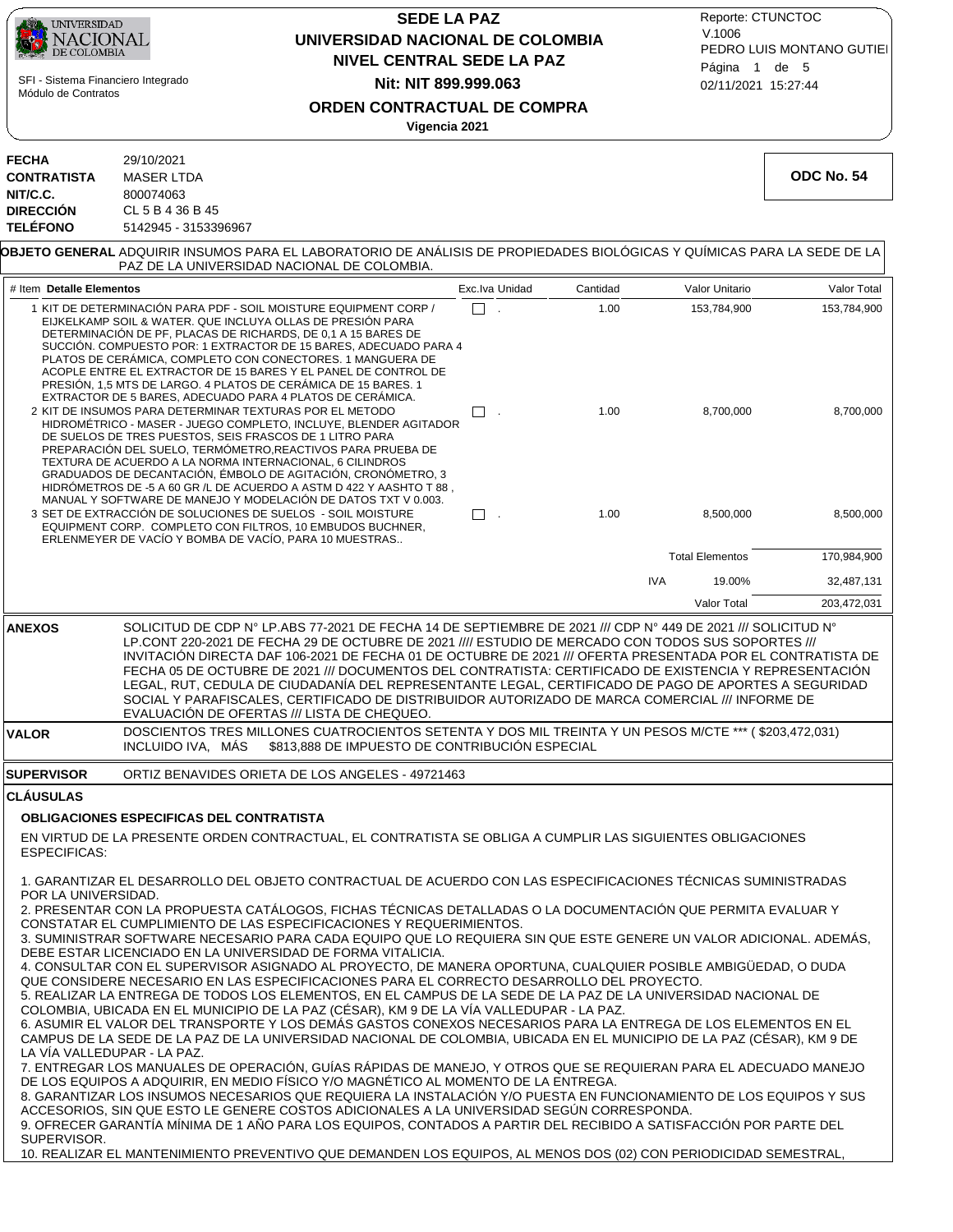| UNIVERSIDAD<br>ACIONAL<br>DE COLOMBIA<br>SFI - Sistema Financiero Integrado<br>Módulo de Contratos |                                                                                                                                                                                | <b>SEDE LA PAZ</b><br>UNIVERSIDAD NACIONAL DE COLOMBIA<br><b>NIVEL CENTRAL SEDE LA PAZ</b><br>Nit: NIT 899.999.063<br>ORDEN CONTRACTUAL DE COMPRA<br>Vigencia 2021                                                                                                                                                                                                                                                                                                                                                                                                                                                                                                                                                                                                                                                                                                                                                                                                                                                                                                                                                                                                                                                                                                                                                                                                                                                                                                                                                                                                                                                                                                                                                                                                                                                                      | Reporte: CTUNCTOC<br>V.1006<br>PEDRO LUIS MONTANO GUTIEI<br>Página 1 de 5<br>02/11/2021 15:27:44 |            |                        |             |
|----------------------------------------------------------------------------------------------------|--------------------------------------------------------------------------------------------------------------------------------------------------------------------------------|-----------------------------------------------------------------------------------------------------------------------------------------------------------------------------------------------------------------------------------------------------------------------------------------------------------------------------------------------------------------------------------------------------------------------------------------------------------------------------------------------------------------------------------------------------------------------------------------------------------------------------------------------------------------------------------------------------------------------------------------------------------------------------------------------------------------------------------------------------------------------------------------------------------------------------------------------------------------------------------------------------------------------------------------------------------------------------------------------------------------------------------------------------------------------------------------------------------------------------------------------------------------------------------------------------------------------------------------------------------------------------------------------------------------------------------------------------------------------------------------------------------------------------------------------------------------------------------------------------------------------------------------------------------------------------------------------------------------------------------------------------------------------------------------------------------------------------------------|--------------------------------------------------------------------------------------------------|------------|------------------------|-------------|
| <b>FECHA</b><br><b>CONTRATISTA</b><br>NIT/C.C.<br><b>DIRECCIÓN</b>                                 | 29/10/2021<br><b>MASER LTDA</b><br>800074063<br>CL 5 B 4 36 B 45                                                                                                               |                                                                                                                                                                                                                                                                                                                                                                                                                                                                                                                                                                                                                                                                                                                                                                                                                                                                                                                                                                                                                                                                                                                                                                                                                                                                                                                                                                                                                                                                                                                                                                                                                                                                                                                                                                                                                                         |                                                                                                  |            |                        | ODC No. 54  |
| <b>TELÉFONO</b>                                                                                    | 5142945 - 3153396967                                                                                                                                                           | <b>OBJETO GENERAL</b> ADQUIRIR INSUMOS PARA EL LABORATORIO DE ANÁLISIS DE PROPIEDADES BIOLÓGICAS Y QUÍMICAS PARA LA SEDE DE LA<br>PAZ DE LA UNIVERSIDAD NACIONAL DE COLOMBIA.                                                                                                                                                                                                                                                                                                                                                                                                                                                                                                                                                                                                                                                                                                                                                                                                                                                                                                                                                                                                                                                                                                                                                                                                                                                                                                                                                                                                                                                                                                                                                                                                                                                           |                                                                                                  |            |                        |             |
| # Item Detalle Elementos                                                                           |                                                                                                                                                                                |                                                                                                                                                                                                                                                                                                                                                                                                                                                                                                                                                                                                                                                                                                                                                                                                                                                                                                                                                                                                                                                                                                                                                                                                                                                                                                                                                                                                                                                                                                                                                                                                                                                                                                                                                                                                                                         | Exc. Iva Unidad                                                                                  | Cantidad   | Valor Unitario         | Valor Total |
|                                                                                                    |                                                                                                                                                                                | 1 KIT DE DETERMINACIÓN PARA PDF - SOIL MOISTURE EQUIPMENT CORP /<br>EIJKELKAMP SOIL & WATER. QUE INCLUYA OLLAS DE PRESIÓN PARA<br>DETERMINACIÓN DE PF, PLACAS DE RICHARDS, DE 0,1 A 15 BARES DE<br>SUCCIÓN. COMPUESTO POR: 1 EXTRACTOR DE 15 BARES, ADECUADO PARA 4<br>PLATOS DE CERÁMICA. COMPLETO CON CONECTORES. 1 MANGUERA DE<br>ACOPLE ENTRE EL EXTRACTOR DE 15 BARES Y EL PANEL DE CONTROL DE<br>PRESIÓN, 1,5 MTS DE LARGO. 4 PLATOS DE CERÁMICA DE 15 BARES. 1<br>EXTRACTOR DE 5 BARES, ADECUADO PARA 4 PLATOS DE CERAMICA.                                                                                                                                                                                                                                                                                                                                                                                                                                                                                                                                                                                                                                                                                                                                                                                                                                                                                                                                                                                                                                                                                                                                                                                                                                                                                                      | П<br>$\mathcal{L}_{\mathbf{r}}$                                                                  | 1.00       | 153,784,900            | 153,784,900 |
|                                                                                                    | 2 KIT DE INSUMOS PARA DETERMINAR TEXTURAS POR EL METODO<br>DE SUELOS DE TRES PUESTOS. SEIS FRASCOS DE 1 LITRO PARA<br>TEXTURA DE ACUERDO A LA NORMA INTERNACIONAL, 6 CILINDROS | HIDROMÉTRICO - MASER - JUEGO COMPLETO. INCLUYE. BLENDER AGITADOR<br>PREPARACIÓN DEL SUELO, TERMÓMETRO, REACTIVOS PARA PRUEBA DE<br>GRADUADOS DE DECANTACIÓN, ÉMBOLO DE AGITACIÓN, CRONÓMETRO, 3<br>HIDRÓMETROS DE -5 A 60 GR /L DE ACUERDO A ASTM D 422 Y AASHTO T 88,<br>MANUAL Y SOFTWARE DE MANEJO Y MODELACIÓN DE DATOS TXT V 0.003.                                                                                                                                                                                                                                                                                                                                                                                                                                                                                                                                                                                                                                                                                                                                                                                                                                                                                                                                                                                                                                                                                                                                                                                                                                                                                                                                                                                                                                                                                                | П.                                                                                               | 1.00       | 8,700,000              | 8,700,000   |
|                                                                                                    | ERLENMEYER DE VACÍO Y BOMBA DE VACÍO, PARA 10 MUESTRAS                                                                                                                         | 3 SET DE EXTRACCIÓN DE SOLUCIONES DE SUELOS - SOIL MOISTURE<br>EQUIPMENT CORP. COMPLETO CON FILTROS, 10 EMBUDOS BUCHNER,                                                                                                                                                                                                                                                                                                                                                                                                                                                                                                                                                                                                                                                                                                                                                                                                                                                                                                                                                                                                                                                                                                                                                                                                                                                                                                                                                                                                                                                                                                                                                                                                                                                                                                                | $\square$ .                                                                                      | 1.00       | 8,500,000              | 8,500,000   |
|                                                                                                    |                                                                                                                                                                                |                                                                                                                                                                                                                                                                                                                                                                                                                                                                                                                                                                                                                                                                                                                                                                                                                                                                                                                                                                                                                                                                                                                                                                                                                                                                                                                                                                                                                                                                                                                                                                                                                                                                                                                                                                                                                                         |                                                                                                  |            | <b>Total Elementos</b> | 170,984,900 |
|                                                                                                    |                                                                                                                                                                                |                                                                                                                                                                                                                                                                                                                                                                                                                                                                                                                                                                                                                                                                                                                                                                                                                                                                                                                                                                                                                                                                                                                                                                                                                                                                                                                                                                                                                                                                                                                                                                                                                                                                                                                                                                                                                                         |                                                                                                  | <b>IVA</b> | 19.00%                 | 32,487,131  |
|                                                                                                    |                                                                                                                                                                                |                                                                                                                                                                                                                                                                                                                                                                                                                                                                                                                                                                                                                                                                                                                                                                                                                                                                                                                                                                                                                                                                                                                                                                                                                                                                                                                                                                                                                                                                                                                                                                                                                                                                                                                                                                                                                                         |                                                                                                  |            | Valor Total            | 203,472,031 |
| <b>ANEXOS</b>                                                                                      |                                                                                                                                                                                | SOLICITUD DE CDP N° LP.ABS 77-2021 DE FECHA 14 DE SEPTIEMBRE DE 2021 /// CDP N° 449 DE 2021 /// SOLICITUD N°<br>LP.CONT 220-2021 DE FECHA 29 DE OCTUBRE DE 2021 //// ESTUDIO DE MERCADO CON TODOS SUS SOPORTES ///<br>INVITACIÓN DIRECTA DAF 106-2021 DE FECHA 01 DE OCTUBRE DE 2021 /// OFERTA PRESENTADA POR EL CONTRATISTA DE<br>FECHA 05 DE OCTUBRE DE 2021 /// DOCUMENTOS DEL CONTRATISTA: CERTIFICADO DE EXISTENCIA Y REPRESENTACIÓN<br>LEGAL, RUT, CEDULA DE CIUDADANÍA DEL REPRESENTANTE LEGAL, CERTIFICADO DE PAGO DE APORTES A SEGURIDAD<br>SOCIAL Y PARAFISCALES, CERTIFICADO DE DISTRIBUIDOR AUTORIZADO DE MARCA COMERCIAL /// INFORME DE<br>EVALUACION DE OFERTAS /// LISTA DE CHEQUEO.                                                                                                                                                                                                                                                                                                                                                                                                                                                                                                                                                                                                                                                                                                                                                                                                                                                                                                                                                                                                                                                                                                                                    |                                                                                                  |            |                        |             |
| <b>VALOR</b>                                                                                       | INCLUIDO IVA, MAS                                                                                                                                                              | DOSCIENTOS TRES MILLONES CUATROCIENTOS SETENTA Y DOS MIL TREINTA Y UN PESOS M/CTE *** (\$203,472,031)<br>\$813,888 DE IMPUESTO DE CONTRIBUCIÓN ESPECIAL                                                                                                                                                                                                                                                                                                                                                                                                                                                                                                                                                                                                                                                                                                                                                                                                                                                                                                                                                                                                                                                                                                                                                                                                                                                                                                                                                                                                                                                                                                                                                                                                                                                                                 |                                                                                                  |            |                        |             |
| <b>SUPERVISOR</b>                                                                                  |                                                                                                                                                                                | ORTIZ BENAVIDES ORIETA DE LOS ANGELES - 49721463                                                                                                                                                                                                                                                                                                                                                                                                                                                                                                                                                                                                                                                                                                                                                                                                                                                                                                                                                                                                                                                                                                                                                                                                                                                                                                                                                                                                                                                                                                                                                                                                                                                                                                                                                                                        |                                                                                                  |            |                        |             |
| <b>CLAUSULAS</b><br><b>ESPECIFICAS:</b>                                                            | <b>OBLIGACIONES ESPECIFICAS DEL CONTRATISTA</b>                                                                                                                                | EN VIRTUD DE LA PRESENTE ORDEN CONTRACTUAL, EL CONTRATISTA SE OBLIGA A CUMPLIR LAS SIGUIENTES OBLIGACIONES                                                                                                                                                                                                                                                                                                                                                                                                                                                                                                                                                                                                                                                                                                                                                                                                                                                                                                                                                                                                                                                                                                                                                                                                                                                                                                                                                                                                                                                                                                                                                                                                                                                                                                                              |                                                                                                  |            |                        |             |
| POR LA UNIVERSIDAD.<br>LA VIA VALLEDUPAR - LA PAZ.<br>SUPERVISOR.                                  |                                                                                                                                                                                | 1. GARANTIZAR EL DESARROLLO DEL OBJETO CONTRACTUAL DE ACUERDO CON LAS ESPECIFICACIONES TÉCNICAS SUMINISTRADAS<br>2. PRESENTAR CON LA PROPUESTA CATÁLOGOS, FICHAS TÉCNICAS DETALLADAS O LA DOCUMENTACIÓN QUE PERMITA EVALUAR Y<br>CONSTATAR EL CUMPLIMIENTO DE LAS ESPECIFICACIONES Y REQUERIMIENTOS.<br>3. SUMINISTRAR SOFTWARE NECESARIO PARA CADA EQUIPO QUE LO REQUIERA SIN QUE ESTE GENERE UN VALOR ADICIONAL. ADEMÁS,<br>DEBE ESTAR LICENCIADO EN LA UNIVERSIDAD DE FORMA VITALICIA.<br>4. CONSULTAR CON EL SUPERVISOR ASIGNADO AL PROYECTO, DE MANERA OPORTUNA, CUALQUIER POSIBLE AMBIGÜEDAD, O DUDA<br>QUE CONSIDERE NECESARIO EN LAS ESPECIFICACIONES PARA EL CORRECTO DESARROLLO DEL PROYECTO.<br>5. REALIZAR LA ENTREGA DE TODOS LOS ELEMENTOS, EN EL CAMPUS DE LA SEDE DE LA PAZ DE LA UNIVERSIDAD NACIONAL DE<br>COLOMBIA, UBICADA EN EL MUNICIPIO DE LA PAZ (CÉSAR), KM 9 DE LA VÍA VALLEDUPAR - LA PAZ.<br>6. ASUMIR EL VALOR DEL TRANSPORTE Y LOS DEMÁS GASTOS CONEXOS NECESARIOS PARA LA ENTREGA DE LOS ELEMENTOS EN EL<br>CAMPUS DE LA SEDE DE LA PAZ DE LA UNIVERSIDAD NACIONAL DE COLOMBIA, UBICADA EN EL MUNICIPIO DE LA PAZ (CÉSAR), KM 9 DE<br>7. ENTREGAR LOS MANUALES DE OPERACIÓN, GUÍAS RÁPIDAS DE MANEJO, Y OTROS QUE SE REQUIERAN PARA EL ADECUADO MANEJO<br>DE LOS EQUIPOS A ADQUIRIR, EN MEDIO FÍSICO Y/O MAGNÉTICO AL MOMENTO DE LA ENTREGA.<br>8. GARANTIZAR LOS INSUMOS NECESARIOS QUE REQUIERA LA INSTALACIÓN Y/O PUESTA EN FUNCIONAMIENTO DE LOS EQUIPOS Y SUS<br>ACCESORIOS, SIN QUE ESTO LE GENERE COSTOS ADICIONALES A LA UNIVERSIDAD SEGÚN CORRESPONDA.<br>9. OFRECER GARANTÍA MÍNIMA DE 1 AÑO PARA LOS EQUIPOS, CONTADOS A PARTIR DEL RECIBIDO A SATISFACCIÓN POR PARTE DEL<br>10. REALIZAR EL MANTENIMIENTO PREVENTIVO QUE DEMANDEN LOS EQUIPOS, AL MENOS DOS (02) CON PERIODICIDAD SEMESTRAL, |                                                                                                  |            |                        |             |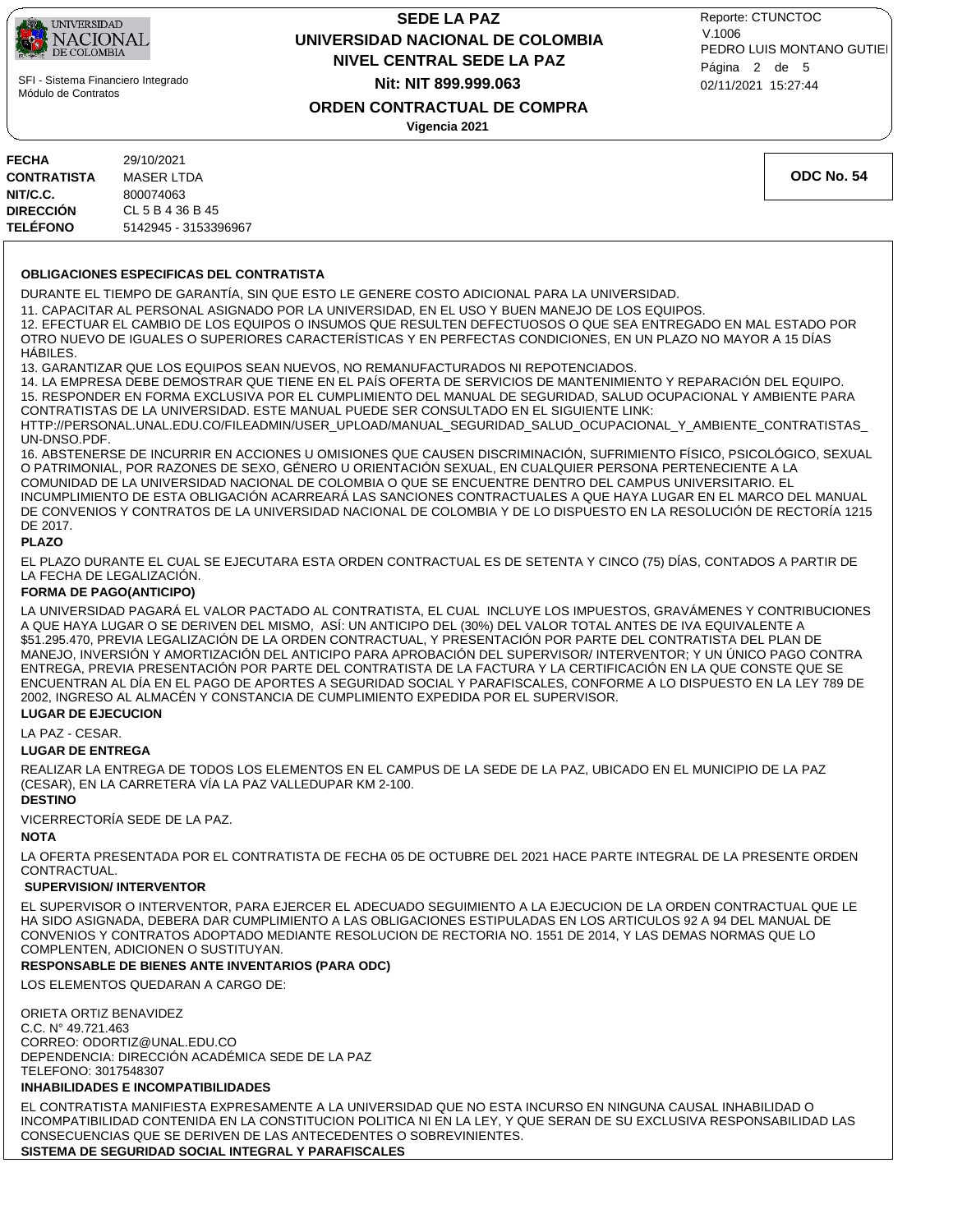

 SFI - Sistema Financiero Integrado Módulo de Contratos

# **NIVEL CENTRAL SEDE LA PAZ SEDE LA PAZ UNIVERSIDAD NACIONAL DE COLOMBIA Nit: NIT 899.999.063**

02/11/2021 15:27:44 PEDRO LUIS MONTANO GUTIEI Reporte: CTUNCTOC V.1006 Página 2 de 5

**ORDEN CONTRACTUAL DE COMPRA**

**Vigencia 2021**

| <b>FECHA</b><br><b>CONTRATISTA</b> | 29/10/2021<br><b>MASER LTDA</b> | <b>ODC No. 54</b> |
|------------------------------------|---------------------------------|-------------------|
| NIT/C.C.                           | 800074063                       |                   |
| <b>DIRECCIÓN</b>                   | CL 5 B 4 36 B 45                |                   |
| <b>TELÉFONO</b>                    | 5142945 - 3153396967            |                   |

#### **OBLIGACIONES ESPECIFICAS DEL CONTRATISTA**

DURANTE EL TIEMPO DE GARANTÍA, SIN QUE ESTO LE GENERE COSTO ADICIONAL PARA LA UNIVERSIDAD.

11. CAPACITAR AL PERSONAL ASIGNADO POR LA UNIVERSIDAD, EN EL USO Y BUEN MANEJO DE LOS EQUIPOS.

12. EFECTUAR EL CAMBIO DE LOS EQUIPOS O INSUMOS QUE RESULTEN DEFECTUOSOS O QUE SEA ENTREGADO EN MAL ESTADO POR OTRO NUEVO DE IGUALES O SUPERIORES CARACTERÍSTICAS Y EN PERFECTAS CONDICIONES, EN UN PLAZO NO MAYOR A 15 DÍAS HÁBILES.

13. GARANTIZAR QUE LOS EQUIPOS SEAN NUEVOS, NO REMANUFACTURADOS NI REPOTENCIADOS.

14. LA EMPRESA DEBE DEMOSTRAR QUE TIENE EN EL PAÍS OFERTA DE SERVICIOS DE MANTENIMIENTO Y REPARACIÓN DEL EQUIPO. 15. RESPONDER EN FORMA EXCLUSIVA POR EL CUMPLIMIENTO DEL MANUAL DE SEGURIDAD, SALUD OCUPACIONAL Y AMBIENTE PARA CONTRATISTAS DE LA UNIVERSIDAD. ESTE MANUAL PUEDE SER CONSULTADO EN EL SIGUIENTE LINK: HTTP://PERSONAL.UNAL.EDU.CO/FILEADMIN/USER\_UPLOAD/MANUAL\_SEGURIDAD\_SALUD\_OCUPACIONAL\_Y\_AMBIENTE\_CONTRATISTAS\_

UN-DNSO.PDF. 16. ABSTENERSE DE INCURRIR EN ACCIONES U OMISIONES QUE CAUSEN DISCRIMINACIÓN, SUFRIMIENTO FÍSICO, PSICOLÓGICO, SEXUAL O PATRIMONIAL, POR RAZONES DE SEXO, GÉNERO U ORIENTACIÓN SEXUAL, EN CUALQUIER PERSONA PERTENECIENTE A LA COMUNIDAD DE LA UNIVERSIDAD NACIONAL DE COLOMBIA O QUE SE ENCUENTRE DENTRO DEL CAMPUS UNIVERSITARIO. EL INCUMPLIMIENTO DE ESTA OBLIGACIÓN ACARREARÁ LAS SANCIONES CONTRACTUALES A QUE HAYA LUGAR EN EL MARCO DEL MANUAL DE CONVENIOS Y CONTRATOS DE LA UNIVERSIDAD NACIONAL DE COLOMBIA Y DE LO DISPUESTO EN LA RESOLUCIÓN DE RECTORÍA 1215 DE 2017.

**PLAZO**

EL PLAZO DURANTE EL CUAL SE EJECUTARA ESTA ORDEN CONTRACTUAL ES DE SETENTA Y CINCO (75) DÍAS, CONTADOS A PARTIR DE LA FECHA DE LEGALIZACIÓN.

#### **FORMA DE PAGO(ANTICIPO)**

LA UNIVERSIDAD PAGARÁ EL VALOR PACTADO AL CONTRATISTA, EL CUAL INCLUYE LOS IMPUESTOS, GRAVÁMENES Y CONTRIBUCIONES A QUE HAYA LUGAR O SE DERIVEN DEL MISMO, ASÍ: UN ANTICIPO DEL (30%) DEL VALOR TOTAL ANTES DE IVA EQUIVALENTE A \$51.295.470, PREVIA LEGALIZACIÓN DE LA ORDEN CONTRACTUAL, Y PRESENTACIÓN POR PARTE DEL CONTRATISTA DEL PLAN DE MANEJO, INVERSIÓN Y AMORTIZACIÓN DEL ANTICIPO PARA APROBACIÓN DEL SUPERVISOR/ INTERVENTOR; Y UN ÚNICO PAGO CONTRA ENTREGA, PREVIA PRESENTACIÓN POR PARTE DEL CONTRATISTA DE LA FACTURA Y LA CERTIFICACIÓN EN LA QUE CONSTE QUE SE ENCUENTRAN AL DÍA EN EL PAGO DE APORTES A SEGURIDAD SOCIAL Y PARAFISCALES, CONFORME A LO DISPUESTO EN LA LEY 789 DE 2002, INGRESO AL ALMACÉN Y CONSTANCIA DE CUMPLIMIENTO EXPEDIDA POR EL SUPERVISOR.

#### **LUGAR DE EJECUCION**

LA PAZ - CESAR.

#### **LUGAR DE ENTREGA**

REALIZAR LA ENTREGA DE TODOS LOS ELEMENTOS EN EL CAMPUS DE LA SEDE DE LA PAZ, UBICADO EN EL MUNICIPIO DE LA PAZ (CESAR), EN LA CARRETERA VÍA LA PAZ VALLEDUPAR KM 2-100.

#### **DESTINO**

VICERRECTORÍA SEDE DE LA PAZ.

#### **NOTA**

LA OFERTA PRESENTADA POR EL CONTRATISTA DE FECHA 05 DE OCTUBRE DEL 2021 HACE PARTE INTEGRAL DE LA PRESENTE ORDEN CONTRACTUAL.

#### **SUPERVISION/ INTERVENTOR**

EL SUPERVISOR O INTERVENTOR, PARA EJERCER EL ADECUADO SEGUIMIENTO A LA EJECUCION DE LA ORDEN CONTRACTUAL QUE LE HA SIDO ASIGNADA, DEBERA DAR CUMPLIMIENTO A LAS OBLIGACIONES ESTIPULADAS EN LOS ARTICULOS 92 A 94 DEL MANUAL DE CONVENIOS Y CONTRATOS ADOPTADO MEDIANTE RESOLUCION DE RECTORIA NO. 1551 DE 2014, Y LAS DEMAS NORMAS QUE LO COMPLENTEN, ADICIONEN O SUSTITUYAN.

#### **RESPONSABLE DE BIENES ANTE INVENTARIOS (PARA ODC)**

LOS ELEMENTOS QUEDARAN A CARGO DE:

ORIETA ORTIZ BENAVIDEZ C.C. N° 49.721.463 CORREO: ODORTIZ@UNAL.EDU.CO DEPENDENCIA: DIRECCIÓN ACADÉMICA SEDE DE LA PAZ TELEFONO: 3017548307

#### **INHABILIDADES E INCOMPATIBILIDADES**

EL CONTRATISTA MANIFIESTA EXPRESAMENTE A LA UNIVERSIDAD QUE NO ESTA INCURSO EN NINGUNA CAUSAL INHABILIDAD O INCOMPATIBILIDAD CONTENIDA EN LA CONSTITUCION POLITICA NI EN LA LEY, Y QUE SERAN DE SU EXCLUSIVA RESPONSABILIDAD LAS CONSECUENCIAS QUE SE DERIVEN DE LAS ANTECEDENTES O SOBREVINIENTES.

**SISTEMA DE SEGURIDAD SOCIAL INTEGRAL Y PARAFISCALES**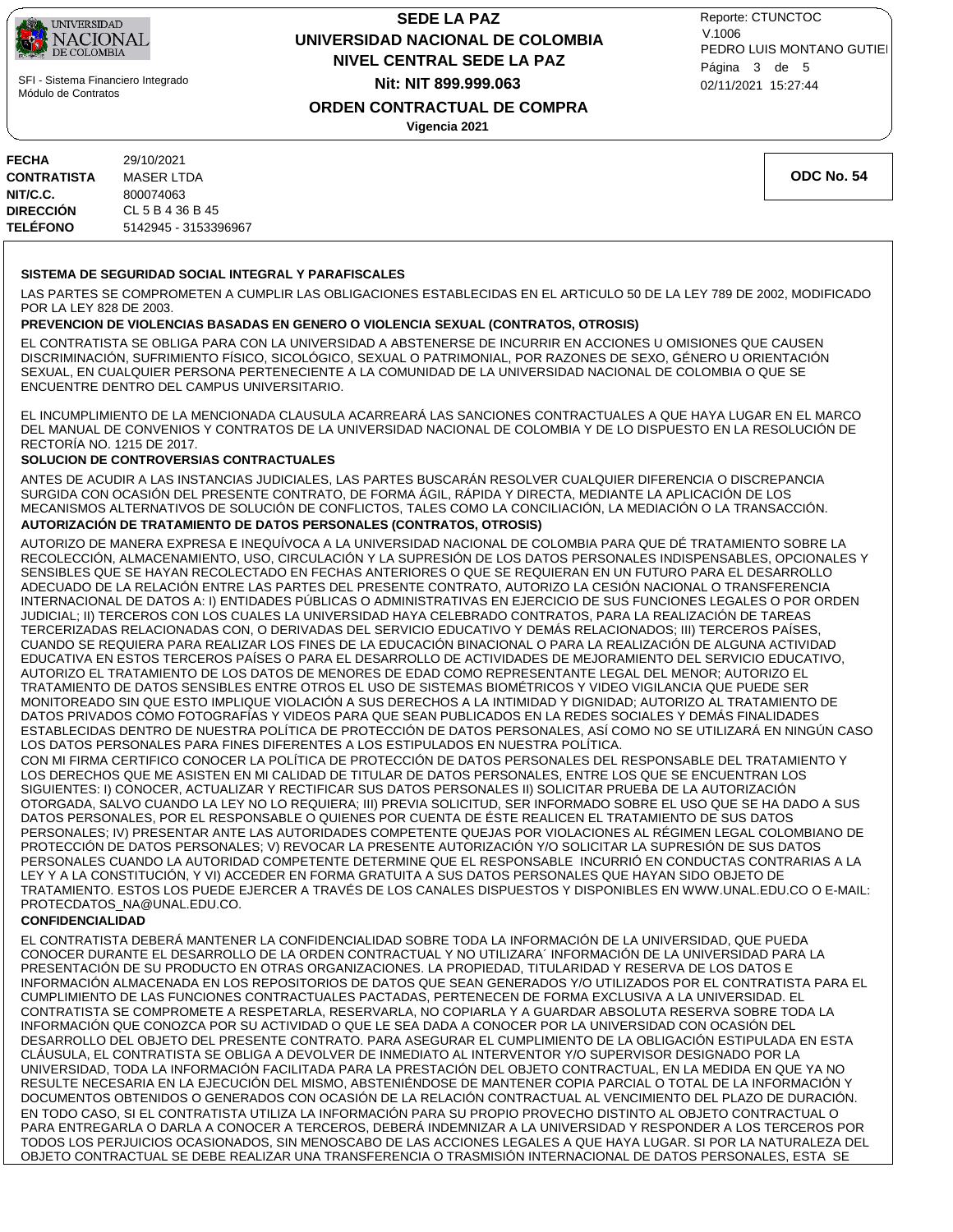

 SFI - Sistema Financiero Integrado Módulo de Contratos

## **NIVEL CENTRAL SEDE LA PAZ SEDE LA PAZ UNIVERSIDAD NACIONAL DE COLOMBIA Nit: NIT 899.999.063**

02/11/2021 15:27:44 PEDRO LUIS MONTANO GUTIEI Reporte: CTUNCTOC V.1006 Página 3 de 5

### **ORDEN CONTRACTUAL DE COMPRA**

**Vigencia 2021**

| FECHA              | 29/10/2021           |
|--------------------|----------------------|
| <b>CONTRATISTA</b> | MASER LTDA           |
| NIT/C.C.           | 800074063            |
| DIRECCIÓN          | CL 5 B 4 36 B 45     |
| TELÉFONO           | 5142945 - 3153396967 |
|                    |                      |

**ODC No. 54**

#### **SISTEMA DE SEGURIDAD SOCIAL INTEGRAL Y PARAFISCALES**

LAS PARTES SE COMPROMETEN A CUMPLIR LAS OBLIGACIONES ESTABLECIDAS EN EL ARTICULO 50 DE LA LEY 789 DE 2002, MODIFICADO POR LA LEY 828 DE 2003.

#### **PREVENCION DE VIOLENCIAS BASADAS EN GENERO O VIOLENCIA SEXUAL (CONTRATOS, OTROSIS)**

EL CONTRATISTA SE OBLIGA PARA CON LA UNIVERSIDAD A ABSTENERSE DE INCURRIR EN ACCIONES U OMISIONES QUE CAUSEN DISCRIMINACIÓN, SUFRIMIENTO FÍSICO, SICOLÓGICO, SEXUAL O PATRIMONIAL, POR RAZONES DE SEXO, GÉNERO U ORIENTACIÓN SEXUAL, EN CUALQUIER PERSONA PERTENECIENTE A LA COMUNIDAD DE LA UNIVERSIDAD NACIONAL DE COLOMBIA O QUE SE ENCUENTRE DENTRO DEL CAMPUS UNIVERSITARIO.

EL INCUMPLIMIENTO DE LA MENCIONADA CLAUSULA ACARREARÁ LAS SANCIONES CONTRACTUALES A QUE HAYA LUGAR EN EL MARCO DEL MANUAL DE CONVENIOS Y CONTRATOS DE LA UNIVERSIDAD NACIONAL DE COLOMBIA Y DE LO DISPUESTO EN LA RESOLUCIÓN DE RECTORÍA NO. 1215 DE 2017.

#### **SOLUCION DE CONTROVERSIAS CONTRACTUALES**

**AUTORIZACIÓN DE TRATAMIENTO DE DATOS PERSONALES (CONTRATOS, OTROSIS)** ANTES DE ACUDIR A LAS INSTANCIAS JUDICIALES, LAS PARTES BUSCARÁN RESOLVER CUALQUIER DIFERENCIA O DISCREPANCIA SURGIDA CON OCASIÓN DEL PRESENTE CONTRATO, DE FORMA ÁGIL, RÁPIDA Y DIRECTA, MEDIANTE LA APLICACIÓN DE LOS MECANISMOS ALTERNATIVOS DE SOLUCIÓN DE CONFLICTOS, TALES COMO LA CONCILIACIÓN, LA MEDIACIÓN O LA TRANSACCIÓN.

AUTORIZO DE MANERA EXPRESA E INEQUÍVOCA A LA UNIVERSIDAD NACIONAL DE COLOMBIA PARA QUE DÉ TRATAMIENTO SOBRE LA RECOLECCIÓN, ALMACENAMIENTO, USO, CIRCULACIÓN Y LA SUPRESIÓN DE LOS DATOS PERSONALES INDISPENSABLES, OPCIONALES Y SENSIBLES QUE SE HAYAN RECOLECTADO EN FECHAS ANTERIORES O QUE SE REQUIERAN EN UN FUTURO PARA EL DESARROLLO ADECUADO DE LA RELACIÓN ENTRE LAS PARTES DEL PRESENTE CONTRATO, AUTORIZO LA CESIÓN NACIONAL O TRANSFERENCIA INTERNACIONAL DE DATOS A: I) ENTIDADES PÚBLICAS O ADMINISTRATIVAS EN EJERCICIO DE SUS FUNCIONES LEGALES O POR ORDEN JUDICIAL; II) TERCEROS CON LOS CUALES LA UNIVERSIDAD HAYA CELEBRADO CONTRATOS, PARA LA REALIZACIÓN DE TAREAS TERCERIZADAS RELACIONADAS CON, O DERIVADAS DEL SERVICIO EDUCATIVO Y DEMÁS RELACIONADOS; III) TERCEROS PAÍSES, CUANDO SE REQUIERA PARA REALIZAR LOS FINES DE LA EDUCACIÓN BINACIONAL O PARA LA REALIZACIÓN DE ALGUNA ACTIVIDAD EDUCATIVA EN ESTOS TERCEROS PAÍSES O PARA EL DESARROLLO DE ACTIVIDADES DE MEJORAMIENTO DEL SERVICIO EDUCATIVO, AUTORIZO EL TRATAMIENTO DE LOS DATOS DE MENORES DE EDAD COMO REPRESENTANTE LEGAL DEL MENOR; AUTORIZO EL TRATAMIENTO DE DATOS SENSIBLES ENTRE OTROS EL USO DE SISTEMAS BIOMÉTRICOS Y VIDEO VIGILANCIA QUE PUEDE SER MONITOREADO SIN QUE ESTO IMPLIQUE VIOLACIÓN A SUS DERECHOS A LA INTIMIDAD Y DIGNIDAD; AUTORIZO AL TRATAMIENTO DE DATOS PRIVADOS COMO FOTOGRAFÍAS Y VIDEOS PARA QUE SEAN PUBLICADOS EN LA REDES SOCIALES Y DEMÁS FINALIDADES ESTABLECIDAS DENTRO DE NUESTRA POLÍTICA DE PROTECCIÓN DE DATOS PERSONALES, ASÍ COMO NO SE UTILIZARÁ EN NINGÚN CASO LOS DATOS PERSONALES PARA FINES DIFERENTES A LOS ESTIPULADOS EN NUESTRA POLÍTICA. CON MI FIRMA CERTIFICO CONOCER LA POLÍTICA DE PROTECCIÓN DE DATOS PERSONALES DEL RESPONSABLE DEL TRATAMIENTO Y LOS DERECHOS QUE ME ASISTEN EN MI CALIDAD DE TITULAR DE DATOS PERSONALES, ENTRE LOS QUE SE ENCUENTRAN LOS SIGUIENTES: I) CONOCER, ACTUALIZAR Y RECTIFICAR SUS DATOS PERSONALES II) SOLICITAR PRUEBA DE LA AUTORIZACIÓN OTORGADA, SALVO CUANDO LA LEY NO LO REQUIERA; III) PREVIA SOLICITUD, SER INFORMADO SOBRE EL USO QUE SE HA DADO A SUS DATOS PERSONALES, POR EL RESPONSABLE O QUIENES POR CUENTA DE ÉSTE REALICEN EL TRATAMIENTO DE SUS DATOS PERSONALES; IV) PRESENTAR ANTE LAS AUTORIDADES COMPETENTE QUEJAS POR VIOLACIONES AL RÉGIMEN LEGAL COLOMBIANO DE PROTECCIÓN DE DATOS PERSONALES; V) REVOCAR LA PRESENTE AUTORIZACIÓN Y/O SOLICITAR LA SUPRESIÓN DE SUS DATOS PERSONALES CUANDO LA AUTORIDAD COMPETENTE DETERMINE QUE EL RESPONSABLE INCURRIÓ EN CONDUCTAS CONTRARIAS A LA LEY Y A LA CONSTITUCIÓN, Y VI) ACCEDER EN FORMA GRATUITA A SUS DATOS PERSONALES QUE HAYAN SIDO OBJETO DE

### TRATAMIENTO. ESTOS LOS PUEDE EJERCER A TRAVÉS DE LOS CANALES DISPUESTOS Y DISPONIBLES EN WWW.UNAL.EDU.CO O E-MAIL: PROTECDATOS\_NA@UNAL.EDU.CO.

#### **CONFIDENCIALIDAD**

EL CONTRATISTA DEBERÁ MANTENER LA CONFIDENCIALIDAD SOBRE TODA LA INFORMACIÓN DE LA UNIVERSIDAD, QUE PUEDA CONOCER DURANTE EL DESARROLLO DE LA ORDEN CONTRACTUAL Y NO UTILIZARA´ INFORMACIÓN DE LA UNIVERSIDAD PARA LA PRESENTACIÓN DE SU PRODUCTO EN OTRAS ORGANIZACIONES. LA PROPIEDAD, TITULARIDAD Y RESERVA DE LOS DATOS E INFORMACIÓN ALMACENADA EN LOS REPOSITORIOS DE DATOS QUE SEAN GENERADOS Y/O UTILIZADOS POR EL CONTRATISTA PARA EL CUMPLIMIENTO DE LAS FUNCIONES CONTRACTUALES PACTADAS, PERTENECEN DE FORMA EXCLUSIVA A LA UNIVERSIDAD. EL CONTRATISTA SE COMPROMETE A RESPETARLA, RESERVARLA, NO COPIARLA Y A GUARDAR ABSOLUTA RESERVA SOBRE TODA LA INFORMACIÓN QUE CONOZCA POR SU ACTIVIDAD O QUE LE SEA DADA A CONOCER POR LA UNIVERSIDAD CON OCASIÓN DEL DESARROLLO DEL OBJETO DEL PRESENTE CONTRATO. PARA ASEGURAR EL CUMPLIMIENTO DE LA OBLIGACIÓN ESTIPULADA EN ESTA CLÁUSULA, EL CONTRATISTA SE OBLIGA A DEVOLVER DE INMEDIATO AL INTERVENTOR Y/O SUPERVISOR DESIGNADO POR LA UNIVERSIDAD, TODA LA INFORMACIÓN FACILITADA PARA LA PRESTACIÓN DEL OBJETO CONTRACTUAL, EN LA MEDIDA EN QUE YA NO RESULTE NECESARIA EN LA EJECUCIÓN DEL MISMO, ABSTENIÉNDOSE DE MANTENER COPIA PARCIAL O TOTAL DE LA INFORMACIÓN Y DOCUMENTOS OBTENIDOS O GENERADOS CON OCASIÓN DE LA RELACIÓN CONTRACTUAL AL VENCIMIENTO DEL PLAZO DE DURACIÓN. EN TODO CASO, SI EL CONTRATISTA UTILIZA LA INFORMACIÓN PARA SU PROPIO PROVECHO DISTINTO AL OBJETO CONTRACTUAL O PARA ENTREGARLA O DARLA A CONOCER A TERCEROS, DEBERÁ INDEMNIZAR A LA UNIVERSIDAD Y RESPONDER A LOS TERCEROS POR TODOS LOS PERJUICIOS OCASIONADOS, SIN MENOSCABO DE LAS ACCIONES LEGALES A QUE HAYA LUGAR. SI POR LA NATURALEZA DEL OBJETO CONTRACTUAL SE DEBE REALIZAR UNA TRANSFERENCIA O TRASMISIÓN INTERNACIONAL DE DATOS PERSONALES, ESTA SE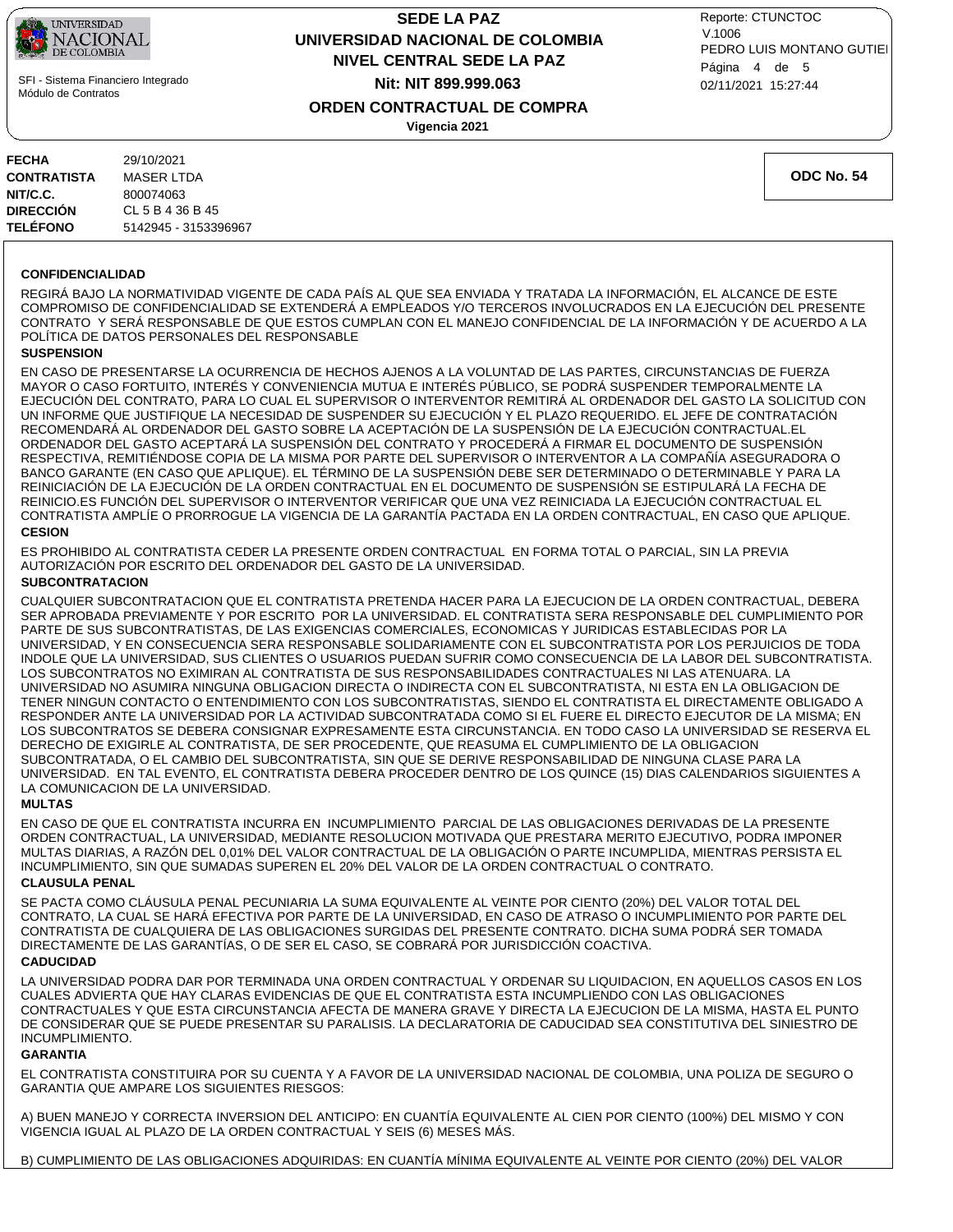

 SFI - Sistema Financiero Integrado Módulo de Contratos

## **ORDEN CONTRACTUAL DE COMPRA NIVEL CENTRAL SEDE LA PAZ SEDE LA PAZ UNIVERSIDAD NACIONAL DE COLOMBIA Nit: NIT 899.999.063**

**Vigencia 2021**

02/11/2021 15:27:44 PEDRO LUIS MONTANO GUTIEI Reporte: CTUNCTOC V.1006 Página 4 de 5

**FECHA** 29/10/2021 **CONTRATISTA** MASER LTDA **NIT/C.C.** 800074063 **DIRECCIÓN** CL 5 B 4 36 B 45 **TELÉFONO** 5142945 - 3153396967

**ODC No. 54**

#### **CONFIDENCIALIDAD**

REGIRÁ BAJO LA NORMATIVIDAD VIGENTE DE CADA PAÍS AL QUE SEA ENVIADA Y TRATADA LA INFORMACIÓN, EL ALCANCE DE ESTE COMPROMISO DE CONFIDENCIALIDAD SE EXTENDERÁ A EMPLEADOS Y/O TERCEROS INVOLUCRADOS EN LA EJECUCIÓN DEL PRESENTE CONTRATO Y SERÁ RESPONSABLE DE QUE ESTOS CUMPLAN CON EL MANEJO CONFIDENCIAL DE LA INFORMACIÓN Y DE ACUERDO A LA POLÍTICA DE DATOS PERSONALES DEL RESPONSABLE

#### **SUSPENSION**

**CESION**  EN CASO DE PRESENTARSE LA OCURRENCIA DE HECHOS AJENOS A LA VOLUNTAD DE LAS PARTES, CIRCUNSTANCIAS DE FUERZA MAYOR O CASO FORTUITO, INTERÉS Y CONVENIENCIA MUTUA E INTERÉS PÚBLICO, SE PODRÁ SUSPENDER TEMPORALMENTE LA EJECUCIÓN DEL CONTRATO, PARA LO CUAL EL SUPERVISOR O INTERVENTOR REMITIRÁ AL ORDENADOR DEL GASTO LA SOLICITUD CON UN INFORME QUE JUSTIFIQUE LA NECESIDAD DE SUSPENDER SU EJECUCIÓN Y EL PLAZO REQUERIDO. EL JEFE DE CONTRATACIÓN RECOMENDARÁ AL ORDENADOR DEL GASTO SOBRE LA ACEPTACIÓN DE LA SUSPENSIÓN DE LA EJECUCIÓN CONTRACTUAL.EL ORDENADOR DEL GASTO ACEPTARÁ LA SUSPENSIÓN DEL CONTRATO Y PROCEDERÁ A FIRMAR EL DOCUMENTO DE SUSPENSIÓN RESPECTIVA, REMITIÉNDOSE COPIA DE LA MISMA POR PARTE DEL SUPERVISOR O INTERVENTOR A LA COMPAÑÍA ASEGURADORA O BANCO GARANTE (EN CASO QUE APLIQUE). EL TÉRMINO DE LA SUSPENSIÓN DEBE SER DETERMINADO O DETERMINABLE Y PARA LA REINICIACIÓN DE LA EJECUCIÓN DE LA ORDEN CONTRACTUAL EN EL DOCUMENTO DE SUSPENSIÓN SE ESTIPULARÁ LA FECHA DE REINICIO.ES FUNCIÓN DEL SUPERVISOR O INTERVENTOR VERIFICAR QUE UNA VEZ REINICIADA LA EJECUCIÓN CONTRACTUAL EL CONTRATISTA AMPLÍE O PRORROGUE LA VIGENCIA DE LA GARANTÍA PACTADA EN LA ORDEN CONTRACTUAL, EN CASO QUE APLIQUE.

#### ES PROHIBIDO AL CONTRATISTA CEDER LA PRESENTE ORDEN CONTRACTUAL EN FORMA TOTAL O PARCIAL, SIN LA PREVIA AUTORIZACIÓN POR ESCRITO DEL ORDENADOR DEL GASTO DE LA UNIVERSIDAD.

#### **SUBCONTRATACION**

CUALQUIER SUBCONTRATACION QUE EL CONTRATISTA PRETENDA HACER PARA LA EJECUCION DE LA ORDEN CONTRACTUAL, DEBERA SER APROBADA PREVIAMENTE Y POR ESCRITO POR LA UNIVERSIDAD. EL CONTRATISTA SERA RESPONSABLE DEL CUMPLIMIENTO POR PARTE DE SUS SUBCONTRATISTAS, DE LAS EXIGENCIAS COMERCIALES, ECONOMICAS Y JURIDICAS ESTABLECIDAS POR LA UNIVERSIDAD, Y EN CONSECUENCIA SERA RESPONSABLE SOLIDARIAMENTE CON EL SUBCONTRATISTA POR LOS PERJUICIOS DE TODA INDOLE QUE LA UNIVERSIDAD, SUS CLIENTES O USUARIOS PUEDAN SUFRIR COMO CONSECUENCIA DE LA LABOR DEL SUBCONTRATISTA. LOS SUBCONTRATOS NO EXIMIRAN AL CONTRATISTA DE SUS RESPONSABILIDADES CONTRACTUALES NI LAS ATENUARA. LA UNIVERSIDAD NO ASUMIRA NINGUNA OBLIGACION DIRECTA O INDIRECTA CON EL SUBCONTRATISTA, NI ESTA EN LA OBLIGACION DE TENER NINGUN CONTACTO O ENTENDIMIENTO CON LOS SUBCONTRATISTAS, SIENDO EL CONTRATISTA EL DIRECTAMENTE OBLIGADO A RESPONDER ANTE LA UNIVERSIDAD POR LA ACTIVIDAD SUBCONTRATADA COMO SI EL FUERE EL DIRECTO EJECUTOR DE LA MISMA; EN LOS SUBCONTRATOS SE DEBERA CONSIGNAR EXPRESAMENTE ESTA CIRCUNSTANCIA. EN TODO CASO LA UNIVERSIDAD SE RESERVA EL DERECHO DE EXIGIRLE AL CONTRATISTA, DE SER PROCEDENTE, QUE REASUMA EL CUMPLIMIENTO DE LA OBLIGACION SUBCONTRATADA, O EL CAMBIO DEL SUBCONTRATISTA, SIN QUE SE DERIVE RESPONSABILIDAD DE NINGUNA CLASE PARA LA UNIVERSIDAD. EN TAL EVENTO, EL CONTRATISTA DEBERA PROCEDER DENTRO DE LOS QUINCE (15) DIAS CALENDARIOS SIGUIENTES A LA COMUNICACION DE LA UNIVERSIDAD.

#### **MULTAS**

EN CASO DE QUE EL CONTRATISTA INCURRA EN INCUMPLIMIENTO PARCIAL DE LAS OBLIGACIONES DERIVADAS DE LA PRESENTE ORDEN CONTRACTUAL, LA UNIVERSIDAD, MEDIANTE RESOLUCION MOTIVADA QUE PRESTARA MERITO EJECUTIVO, PODRA IMPONER MULTAS DIARIAS, A RAZÓN DEL 0,01% DEL VALOR CONTRACTUAL DE LA OBLIGACIÓN O PARTE INCUMPLIDA, MIENTRAS PERSISTA EL INCUMPLIMIENTO, SIN QUE SUMADAS SUPEREN EL 20% DEL VALOR DE LA ORDEN CONTRACTUAL O CONTRATO.

#### **CLAUSULA PENAL**

SE PACTA COMO CLÁUSULA PENAL PECUNIARIA LA SUMA EQUIVALENTE AL VEINTE POR CIENTO (20%) DEL VALOR TOTAL DEL CONTRATO, LA CUAL SE HARÁ EFECTIVA POR PARTE DE LA UNIVERSIDAD, EN CASO DE ATRASO O INCUMPLIMIENTO POR PARTE DEL CONTRATISTA DE CUALQUIERA DE LAS OBLIGACIONES SURGIDAS DEL PRESENTE CONTRATO. DICHA SUMA PODRÁ SER TOMADA DIRECTAMENTE DE LAS GARANTÍAS, O DE SER EL CASO, SE COBRARÁ POR JURISDICCIÓN COACTIVA.

#### **CADUCIDAD**

LA UNIVERSIDAD PODRA DAR POR TERMINADA UNA ORDEN CONTRACTUAL Y ORDENAR SU LIQUIDACION, EN AQUELLOS CASOS EN LOS CUALES ADVIERTA QUE HAY CLARAS EVIDENCIAS DE QUE EL CONTRATISTA ESTA INCUMPLIENDO CON LAS OBLIGACIONES CONTRACTUALES Y QUE ESTA CIRCUNSTANCIA AFECTA DE MANERA GRAVE Y DIRECTA LA EJECUCION DE LA MISMA, HASTA EL PUNTO DE CONSIDERAR QUE SE PUEDE PRESENTAR SU PARALISIS. LA DECLARATORIA DE CADUCIDAD SEA CONSTITUTIVA DEL SINIESTRO DE INCUMPLIMIENTO.

#### **GARANTIA**

EL CONTRATISTA CONSTITUIRA POR SU CUENTA Y A FAVOR DE LA UNIVERSIDAD NACIONAL DE COLOMBIA, UNA POLIZA DE SEGURO O GARANTIA QUE AMPARE LOS SIGUIENTES RIESGOS:

A) BUEN MANEJO Y CORRECTA INVERSION DEL ANTICIPO: EN CUANTÍA EQUIVALENTE AL CIEN POR CIENTO (100%) DEL MISMO Y CON VIGENCIA IGUAL AL PLAZO DE LA ORDEN CONTRACTUAL Y SEIS (6) MESES MÁS.

B) CUMPLIMIENTO DE LAS OBLIGACIONES ADQUIRIDAS: EN CUANTÍA MÍNIMA EQUIVALENTE AL VEINTE POR CIENTO (20%) DEL VALOR